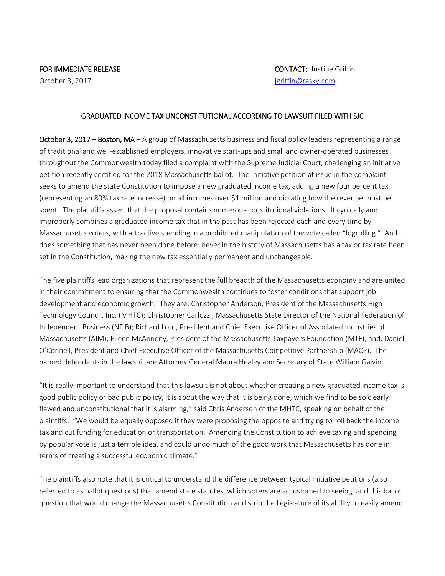## FOR IMMEDIATE RELEASE CONTACT: Justine Griffin

## GRADUATED INCOME TAX UNCONSTITUTIONAL ACCORDING TO LAWSUIT FILED WITH SJC

October 3, 2017 – Boston, MA – A group of Massachusetts business and fiscal policy leaders representing a range of traditional and well-established employers, innovative start-ups and small and owner-operated businesses throughout the Commonwealth today filed a complaint with the Supreme Judicial Court, challenging an initiative petition recently certified for the 2018 Massachusetts ballot. The initiative petition at issue in the complaint seeks to amend the state Constitution to impose a new graduated income tax, adding a new four percent tax (representing an 80% tax rate increase) on all incomes over \$1 million and dictating how the revenue must be spent. The plaintiffs assert that the proposal contains numerous constitutional violations. It cynically and improperly combines a graduated income tax that in the past has been rejected each and every time by Massachusetts voters, with attractive spending in a prohibited manipulation of the vote called "logrolling." And it does something that has never been done before: never in the history of Massachusetts has a tax or tax rate been set in the Constitution, making the new tax essentially permanent and unchangeable.

The five plaintiffs lead organizations that represent the full breadth of the Massachusetts economy and are united in their commitment to ensuring that the Commonwealth continues to foster conditions that support job development and economic growth. They are: Christopher Anderson, President of the Massachusetts High Technology Council, Inc. (MHTC); Christopher Carlozzi, Massachusetts State Director of the National Federation of Independent Business (NFIB); Richard Lord, President and Chief Executive Officer of Associated Industries of Massachusetts (AIM); Eileen McAnneny, President of the Massachusetts Taxpayers Foundation (MTF); and, Daniel O'Connell, President and Chief Executive Officer of the Massachusetts Competitive Partnership (MACP). The named defendants in the lawsuit are Attorney General Maura Healey and Secretary of State William Galvin.

"It is really important to understand that this lawsuit is not about whether creating a new graduated income tax is good public policy or bad public policy, it is about the way that it is being done, which we find to be so clearly flawed and unconstitutional that it is alarming," said Chris Anderson of the MHTC, speaking on behalf of the plaintiffs. "We would be equally opposed if they were proposing the opposite and trying to roll back the income tax and cut funding for education or transportation. Amending the Constitution to achieve taxing and spending by popular vote is just a terrible idea, and could undo much of the good work that Massachusetts has done in terms of creating a successful economic climate."

The plaintiffs also note that it is critical to understand the difference between typical initiative petitions (also referred to as ballot questions) that amend state statutes, which voters are accustomed to seeing, and this ballot question that would change the Massachusetts Constitution and strip the Legislature of its ability to easily amend